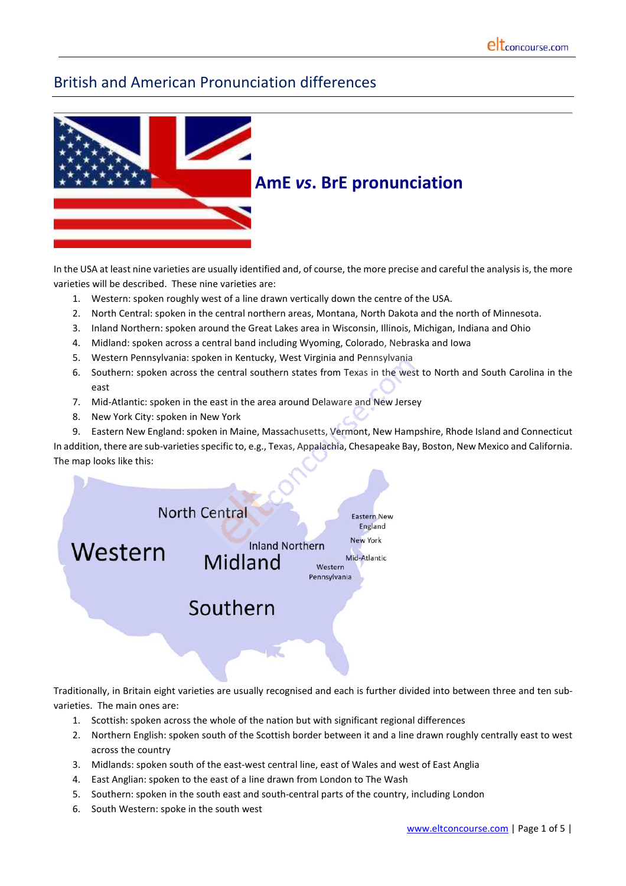# British and American Pronunciation differences



In the USA at least nine varieties are usually identified and, of course, the more precise and careful the analysis is, the more varieties will be described. These nine varieties are:

- 1. Western: spoken roughly west of a line drawn vertically down the centre of the USA.
- 2. North Central: spoken in the central northern areas, Montana, North Dakota and the north of Minnesota.
- 3. Inland Northern: spoken around the Great Lakes area in Wisconsin, Illinois, Michigan, Indiana and Ohio
- 4. Midland: spoken across a central band including Wyoming, Colorado, Nebraska and Iowa
- 5. Western Pennsylvania: spoken in Kentucky, West Virginia and Pennsylvania
- 6. Southern: spoken across the central southern states from Texas in the west to North and South Carolina in the east
- 7. Mid-Atlantic: spoken in the east in the area around Delaware and New Jersey
- 8. New York City: spoken in New York
- 9. Eastern New England: spoken in Maine, Massachusetts, Vermont, New Hampshire, Rhode Island and Connecticut

In addition, there are sub-varieties specific to, e.g., Texas, Appalachia, Chesapeake Bay, Boston, New Mexico and California. The map looks like this:



Traditionally, in Britain eight varieties are usually recognised and each is further divided into between three and ten subvarieties. The main ones are:

- 1. Scottish: spoken across the whole of the nation but with significant regional differences
- 2. Northern English: spoken south of the Scottish border between it and a line drawn roughly centrally east to west across the country
- 3. Midlands: spoken south of the east-west central line, east of Wales and west of East Anglia
- 4. East Anglian: spoken to the east of a line drawn from London to The Wash
- 5. Southern: spoken in the south east and south-central parts of the country, including London
- 6. South Western: spoke in the south west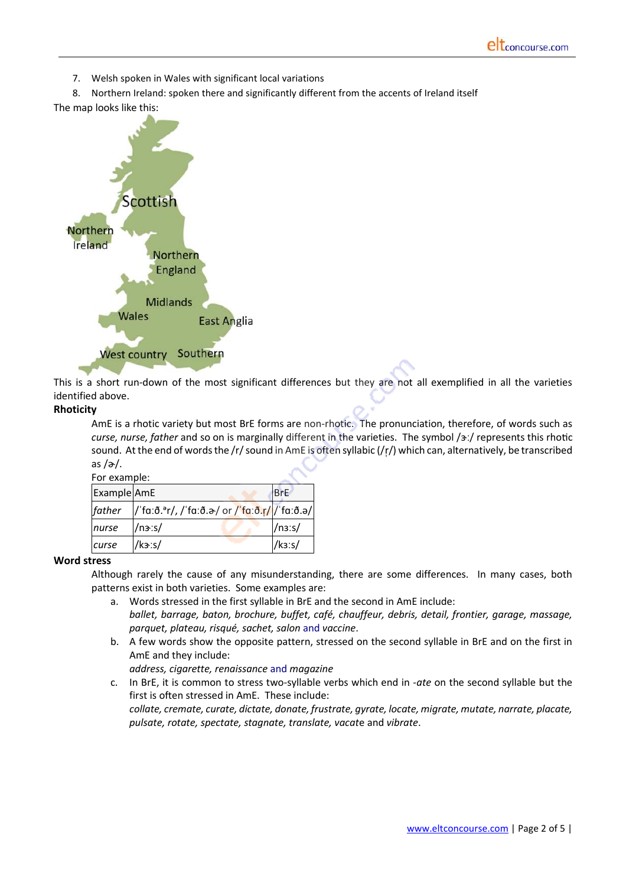7. Welsh spoken in Wales with significant local variations

8. Northern Ireland: spoken there and significantly different from the accents of Ireland itself





This is a short run-down of the most significant differences but they are not all exemplified in all the varieties identified above.

#### **Rhoticity**

AmE is a rhotic variety but most BrE forms are non-rhotic. The pronunciation, therefore, of words such as *curse, nurse, father* and so on is marginally different in the varieties. The symbol /ɜː/ represents this rhotic sound. At the end of words the /r/ sound in AmE is often syllabic (/r/) which can, alternatively, be transcribed as  $/\partial$ .

| For example: |                                              |                        |
|--------------|----------------------------------------------|------------------------|
| Example AmE  |                                              | <b>BrE</b>             |
| father       | /'fa:ð.'r/, /'fa:ð.ə/ or /'fa:ð.r///'fa:ð.ə/ |                        |
| nurse        | /n3:5/                                       | $/$ n <sub>3</sub> :s/ |
| curse        | k3:5/                                        | k3:5/                  |

#### **Word stress**

Although rarely the cause of any misunderstanding, there are some differences. In many cases, both patterns exist in both varieties. Some examples are:

- a. Words stressed in the first syllable in BrE and the second in AmE include: *ballet, barrage, baton, brochure, buffet, café, chauffeur, debris, detail, frontier, garage, massage, parquet, plateau, risqué, sachet, salon* and *vaccine*.
- b. A few words show the opposite pattern, stressed on the second syllable in BrE and on the first in AmE and they include:

*address, cigarette, renaissance* and *magazine*

c. In BrE, it is common to stress two-syllable verbs which end in -*ate* on the second syllable but the first is often stressed in AmE. These include: *collate, cremate, curate, dictate, donate, frustrate, gyrate, locate, migrate, mutate, narrate, placate,*

*pulsate, rotate, spectate, stagnate, translate, vacat*e and *vibrate*.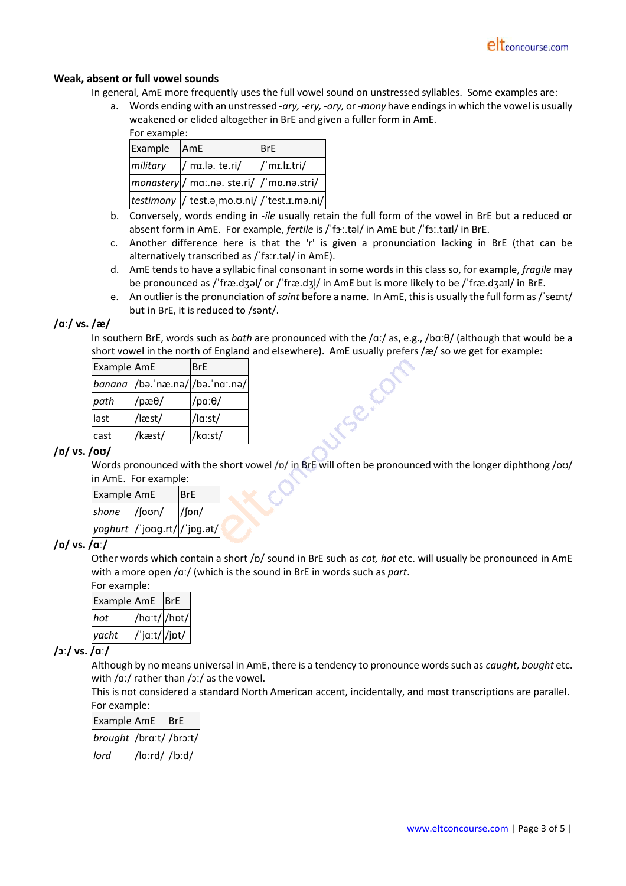#### **Weak, absent or full vowel sounds**

In general, AmE more frequently uses the full vowel sound on unstressed syllables. Some examples are:

a. Words ending with an unstressed -*ary, -ery, -ory,* or *-mony* have endings in which the vowel is usually weakened or elided altogether in BrE and given a fuller form in AmE. For example:

| . טו כגשוווטוכ |                                              |                         |  |
|----------------|----------------------------------------------|-------------------------|--|
| Example        | <b>AmE</b>                                   | <b>BrE</b>              |  |
| military       | $\frac{1}{\text{min.}}$ lə. te.ri/           | $\frac{1}{\text{min.}}$ |  |
|                | monastery /'ma:.nə. ste.ri/  /'mp.nə.stri/   |                         |  |
|                | testimony //'test.a.mo.o.ni///'test.I.ma.ni/ |                         |  |

- b. Conversely, words ending in -*ile* usually retain the full form of the vowel in BrE but a reduced or absent form in AmE. For example, *fertile* is / 'fa:.tal/ in AmE but / 'fa:.taɪl/ in BrE.
- c. Another difference here is that the 'r' is given a pronunciation lacking in BrE (that can be alternatively transcribed as /ˈfɜːr.təl/ in AmE).
- d. AmE tends to have a syllabic final consonant in some words in this class so, for example, *fragile* may be pronounced as /ˈfræ.dʒəl/ or /ˈfræ.dʒl/ in AmE but is more likely to be /ˈfræ.dʒaɪl/ in BrE.
- e. An outlier is the pronunciation of*saint* before a name. In AmE, thisis usually the full form as/ˈseɪnt/ but in BrE, it is reduced to /sənt/.

Se.C

#### **/ɑː/ vs. /æ/**

In southern BrE, words such as *bath* are pronounced with the /ɑː/ as, e.g., /bɑːθ/ (although that would be a short vowel in the north of England and elsewhere). AmE usually prefers /æ/ so we get for example:

| Example AmE |                                 | <b>BrE</b>      |
|-------------|---------------------------------|-----------------|
|             | banana /bə.ˈnæ.nə/ /bə.ˈnaː.nə/ |                 |
| path        | $/$ pæ $\theta/$                | /pa: $\theta$ / |
| last        | /læst/                          | /la:st/         |
| cast        | /kæst/                          | /ka:st/         |

## **/ɒ/ vs. /oʊ/**

Words pronounced with the short vowel /p/ in BrE will often be pronounced with the longer diphthong /oʊ/ in AmE. For example:

| Example AmE |                                | <b>BrE</b>      |
|-------------|--------------------------------|-----------------|
| shone       | $/$ foon $/$                   | $\frac{1}{\ln}$ |
|             | yoghurt  /ˈjoʊɡ.r̥t/ /ˈjɒɡ.ət/ |                 |

## **/ɒ/ vs. /ɑː/**

Other words which contain a short /ɒ/ sound in BrE such as *cot, hot* etc. will usually be pronounced in AmE with a more open /ɑː/ (which is the sound in BrE in words such as *part*.

| For example:    |               |  |
|-----------------|---------------|--|
| Example AmE BrE |               |  |
| hot             | /haːt/ /hɒt/  |  |
| yacht           | /'ja:t/ /jpt/ |  |

## **/ɔː/ vs. /ɑː/**

Although by no means universal in AmE, there is a tendency to pronounce words such as *caught, bought* etc. with /ɑː/ rather than /ɔː/ as the vowel.

This is not considered a standard North American accent, incidentally, and most transcriptions are parallel. For example:

| Example AmE             |                | <b>BrE</b> |
|-------------------------|----------------|------------|
| brought /braːt/ /brɔːt/ |                |            |
| lord                    | /la:rd/ /lɔːd/ |            |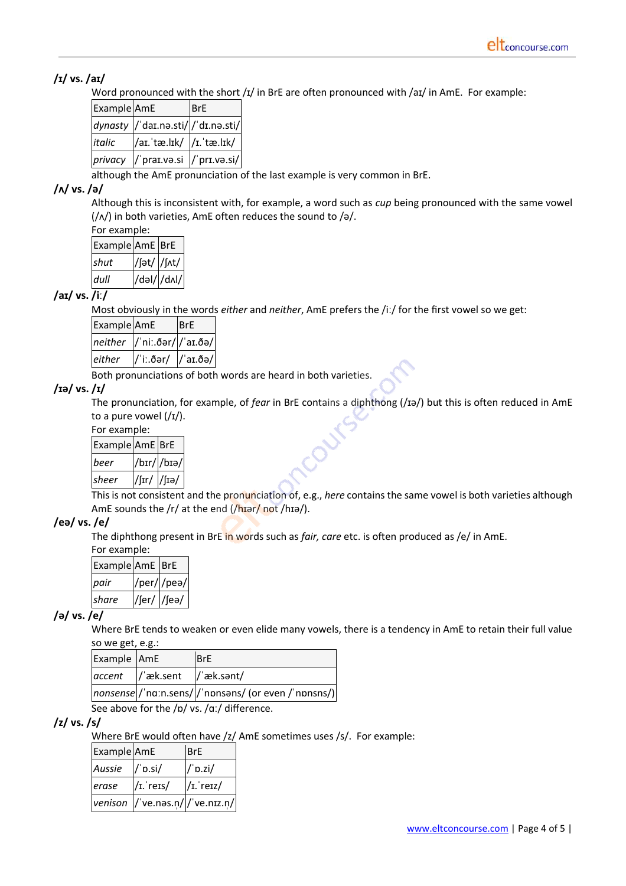## **/ɪ/ vs. /aɪ/**

Word pronounced with the short /ɪ/ in BrE are often pronounced with /aɪ/ in AmE. For example:

| Example AmE |                                     | <b>BrE</b> |
|-------------|-------------------------------------|------------|
|             | dynasty  /'daɪ.nə.sti/ /'dɪ.nə.sti/ |            |
| italic      | /aɪ.'tæ.lɪk/  /ɪ.'tæ.lɪk/           |            |
|             | privacy / praɪ.və.si / prɪ.və.si/   |            |

although the AmE pronunciation of the last example is very common in BrE.

#### **/ʌ/ vs. /ə/**

Although this is inconsistent with, for example, a word such as *cup* being pronounced with the same vowel (/ʌ/) in both varieties, AmE often reduces the sound to /ə/.

| For example:    |             |  |
|-----------------|-------------|--|
| Example AmE BrE |             |  |
| shut            | /fət/ /fʌt/ |  |
| dull            | /dəl/ /dʌl/ |  |

#### **/aɪ/ vs. /iː/**

Most obviously in the words *either* and *neither*, AmE prefers the /iː/ for the first vowel so we get:

| Example AmE |                                         | <b>BrE</b> |
|-------------|-----------------------------------------|------------|
|             | $neither$ $ $ 'ni:.ðər/ $ $ 'aɪ.ðə/ $ $ |            |
| either      | $ $ /'iː.ðər/ $ $ /'aɪ.ðə/              |            |

Both pronunciations of both words are heard in both varieties.

#### **/ɪə/ vs. /ɪ/**

The pronunciation, for example, of *fear* in BrE contains a diphthong (/ɪə/) but this is often reduced in AmE to a pure vowel  $\frac{1}{1}$ .

For example:

| Example AmE BrE |                         |             |
|-----------------|-------------------------|-------------|
| beer            |                         | /bir/ /biə/ |
| sheer           | $/$ [Ir $/$ $/$ [Iə $/$ |             |

This is not consistent and the pronunciation of, e.g., *here* contains the same vowel is both varieties although AmE sounds the /r/ at the end  $($ /hɪər/ not /hɪə/).

## **/eə/ vs. /e/**

The diphthong present in BrE in words such as *fair, care* etc. is often produced as /e/ in AmE. For example:

| For example:    |             |            |
|-----------------|-------------|------------|
| Example AmE BrE |             |            |
| pair            |             | /per//pea/ |
| share           | /fer/ /fea/ |            |

## **/ə/ vs. /e/**

Where BrE tends to weaken or even elide many vowels, there is a tendency in AmE to retain their full value so we get, e.g.:

| Example AmE |                             | <b>BrE</b>                                           |
|-------------|-----------------------------|------------------------------------------------------|
|             | accent //æk.sent //æk.sənt/ |                                                      |
|             |                             | nonsense /'naːn.sens/ /'npnsəns/ (or even /'npnsns/) |

See above for the /p/ vs. /ɑː/ difference.

#### **/z/ vs. /s/**

Where BrE would often have /z/ AmE sometimes uses /s/. For example:

| Example AmE |                                       | <b>BrE</b>   |
|-------------|---------------------------------------|--------------|
| Aussie      | $/$ 'p.si $/$                         | $/$ p.zi/    |
| erase       | $/I.$ reis/                           | $/I$ . retz/ |
|             | venison $ /$ ve.nas.n/ $ /$ ve.niz.n/ |              |